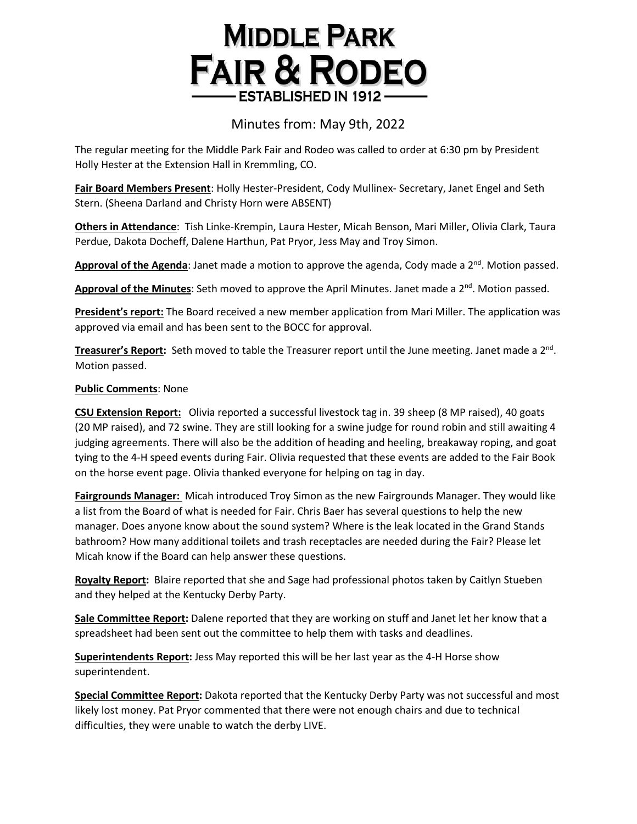## **MIDDLE PARK FAIR & RODEO ESTABLISHED IN 1912**

## Minutes from: May 9th, 2022

The regular meeting for the Middle Park Fair and Rodeo was called to order at 6:30 pm by President Holly Hester at the Extension Hall in Kremmling, CO.

**Fair Board Members Present**: Holly Hester-President, Cody Mullinex- Secretary, Janet Engel and Seth Stern. (Sheena Darland and Christy Horn were ABSENT)

**Others in Attendance**: Tish Linke-Krempin, Laura Hester, Micah Benson, Mari Miller, Olivia Clark, Taura Perdue, Dakota Docheff, Dalene Harthun, Pat Pryor, Jess May and Troy Simon.

Approval of the Agenda: Janet made a motion to approve the agenda, Cody made a 2<sup>nd</sup>. Motion passed.

Approval of the Minutes: Seth moved to approve the April Minutes. Janet made a 2<sup>nd</sup>. Motion passed.

**President's report:** The Board received a new member application from Mari Miller. The application was approved via email and has been sent to the BOCC for approval.

**Treasurer's Report:** Seth moved to table the Treasurer report until the June meeting. Janet made a 2<sup>nd</sup>. Motion passed.

## **Public Comments**: None

**CSU Extension Report:** Olivia reported a successful livestock tag in. 39 sheep (8 MP raised), 40 goats (20 MP raised), and 72 swine. They are still looking for a swine judge for round robin and still awaiting 4 judging agreements. There will also be the addition of heading and heeling, breakaway roping, and goat tying to the 4-H speed events during Fair. Olivia requested that these events are added to the Fair Book on the horse event page. Olivia thanked everyone for helping on tag in day.

**Fairgrounds Manager:** Micah introduced Troy Simon as the new Fairgrounds Manager. They would like a list from the Board of what is needed for Fair. Chris Baer has several questions to help the new manager. Does anyone know about the sound system? Where is the leak located in the Grand Stands bathroom? How many additional toilets and trash receptacles are needed during the Fair? Please let Micah know if the Board can help answer these questions.

**Royalty Report:** Blaire reported that she and Sage had professional photos taken by Caitlyn Stueben and they helped at the Kentucky Derby Party.

**Sale Committee Report:** Dalene reported that they are working on stuff and Janet let her know that a spreadsheet had been sent out the committee to help them with tasks and deadlines.

**Superintendents Report:** Jess May reported this will be her last year as the 4-H Horse show superintendent.

**Special Committee Report:** Dakota reported that the Kentucky Derby Party was not successful and most likely lost money. Pat Pryor commented that there were not enough chairs and due to technical difficulties, they were unable to watch the derby LIVE.